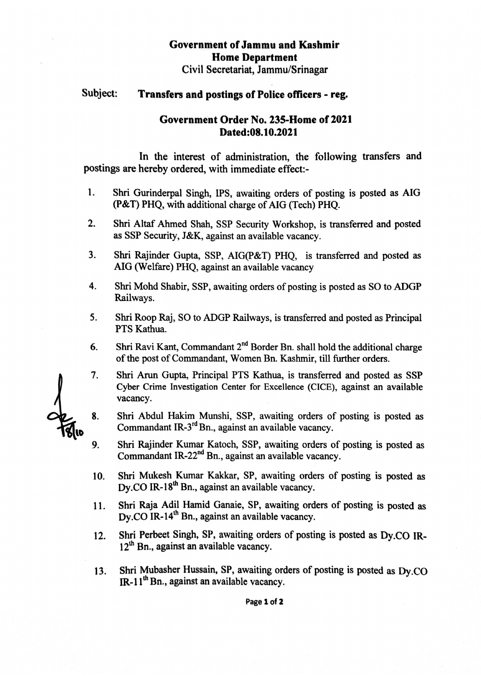# Government of Jammu and Kashmir Home Department

Civil Secretariat, Jammu/Srinagar

## Subject: Transfers and postings of Police officers - reg.

## Government Order No. 235-Home of 2021 Dated:08.10.2021

In the interest of administration, the following transfers and postings are hereby ordered, with immediate effect:-

- Shri Gurinderpal Singh, IPS, awaiting orders of posting is posted as AlG (P&T) PHQ, with additional charge of AIG (Tech) PHQ. 1.
- Shri Altaf Ahmed Shah, sSP Security Workshop, is transferred and posted as SSP Security, J&K, against an available vacancy. 2.
- 3. Shri Rajinder Gupta, SSP, AIG(P&T) PHQ, is transferred and posted as AIG (Welfare) PHQ, against an available vacancy
- 4. Shri Mohd Shabir, SSP, awaiting orders of posting is posted as SO to ADGP Railways.
- Shri Roop Raj, SO to ADGP Railways, is transferred and posted as Principal PTS Kathua. 5.
- Shri Ravi Kant, Commandant 2<sup>nd</sup> Border Bn. shall hold the additional charge of the post of Commandant, Women Bn. Kashmir, till further orders. 6.
- 7. Shri Arun Gupta, Principal PTS Kathua, is transferred and posted as SSP Cyber Crime Investigation Center for Excellence (CICE), against an available vacancy.
- Shri Abdul Hakim Munshi, SSP, awaiting orders of posting is posted as Commandant IR-3<sup>rd</sup> Bn., against an available vacancy. 8.
- Shri Rajinder Kumar Katoch, SSP, awaiting orders of posting is posted as Commandant IR-22 $<sup>nd</sup>$  Bn., against an available vacancy.</sup> 9.
- Shri Mukesh Kumar Kakkar, SP, awaiting orders of posting is posted as Dv.CO IR-18<sup>th</sup> Bn., against an available vacancy. 10.
- 11. Shri Raja Adil Hamid Ganaie, SP, awaiting orders of posting is posted as  $Dy$ .CO IR-14<sup>th</sup> Bn., against an available vacancy.
- 12. Shri Perbeet Singh, SP, awaiting orders of posting is posted as Dy.CO IR-12<sup>th</sup> Bn., against an available vacancy.
- 13. Shri Mubasher Hussain, SP, awaiting orders of posting is posted as Dy.co  $IR-11<sup>th</sup>$ Bn., against an available vacancy.

Page 1 of 2